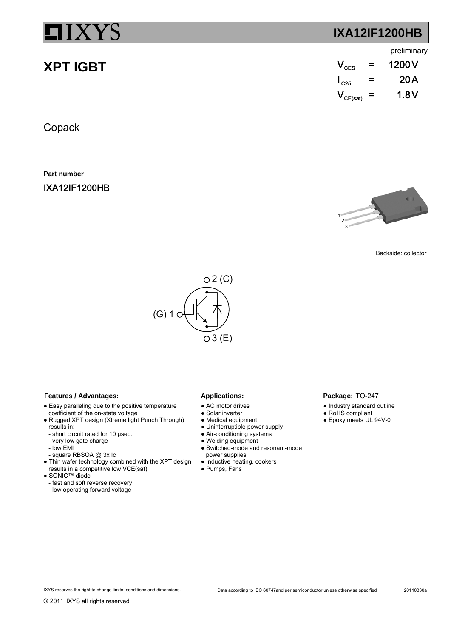**XPT IGBT**

## **IXA12IF1200HB**

### preliminary

| $\mathsf{V}_{\textsf{\tiny CFS}}$ | = | 1200 V |
|-----------------------------------|---|--------|
| $\mathsf{I}_{\texttt{C25}}$       | = | 20 A   |
| $V_{CE(sat)}$ =                   |   | 1.8V   |

Copack

**Part number**

IXA12IF1200HB



Backside: collector



### Features / Advantages: Applications:

- Easy paralleling due to the positive temperature coefficient of the on-state voltage
- Rugged XPT design (Xtreme light Punch Through) results in:
- short circuit rated for 10 µsec.
- very low gate charge
- low EMI
- square RBSOA @ 3x Ic
- Thin wafer technology combined with the XPT design
- results in a competitive low VCE(sat)
- SONIC™ diode
- fast and soft reverse recovery
- low operating forward voltage

- AC motor drives
- Solar inverter
- Medical equipment
- Uninterruptible power supply
- Air-conditioning systems
- Welding equipment
- Switched-mode and resonant-mode power supplies
- Inductive heating, cookers
- Pumps, Fans

## Package: TO-247

- Industry standard outline
- RoHS compliant ● Epoxy meets UL 94V-0
-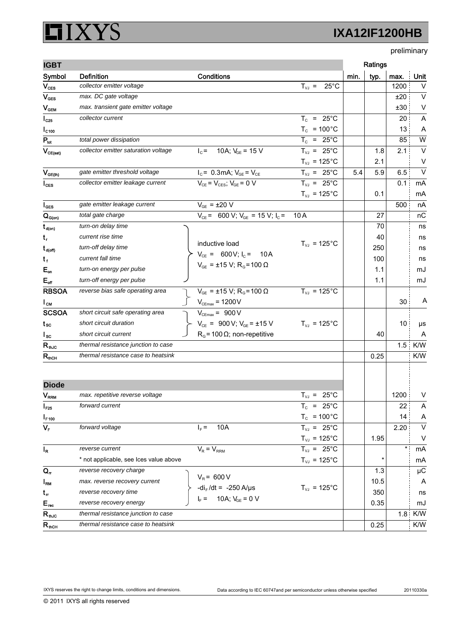### XYS ļ  $\Box$

# **IXA12IF1200HB**

preliminary

| <b>IGBT</b>                 |                                        |                                                                                                  |                                         |      | Ratings |         |         |
|-----------------------------|----------------------------------------|--------------------------------------------------------------------------------------------------|-----------------------------------------|------|---------|---------|---------|
| Symbol                      | <b>Definition</b>                      | Conditions                                                                                       |                                         | min. | typ.    | max.    | Unit    |
| $\mathsf{V}_{\texttt{CES}}$ | collector emitter voltage              |                                                                                                  | $T_{V1} = 25^{\circ}C$                  |      |         | 1200    | $\vee$  |
| $V_{\text{GES}}$            | max. DC gate voltage                   |                                                                                                  |                                         |      |         | ±20     | $\vee$  |
| $V_{GEM}$                   | max. transient gate emitter voltage    |                                                                                                  |                                         |      |         | ±30     | $\vee$  |
| $I_{C25}$                   | collector current                      |                                                                                                  | $T_c$ = 25°C                            |      |         | 20      | Α       |
| $IC$ <sub>100</sub>         |                                        |                                                                                                  | $T_c$ = 100°C                           |      |         | 13      | A       |
| $P_{tot}$                   | total power dissipation                |                                                                                                  | $T_c = 25^{\circ}$ C                    |      |         | 85      | W       |
| $V_{CE(sat)}$               | collector emitter saturation voltage   | 10A; $V_{GF}$ = 15 V<br>$Ic$ =                                                                   | $T_{VJ}$ = 25°C                         |      | 1.8     | 2.1     | $\vee$  |
|                             |                                        |                                                                                                  | $T_{VJ}$ = 125°C                        |      | 2.1     |         | $\vee$  |
| $V_{GE(th)}$                | gate emitter threshold voltage         | $I_c = 0.3$ mA; $V_{GE} = V_{CE}$                                                                | $T_{VJ}$ = 25°C                         | 5.4  | 5.9     | 6.5     | $\vee$  |
| $I_{\text{CES}}$            | collector emitter leakage current      | $V_{CE} = V_{CES}$ ; $V_{GE} = 0$ V                                                              | $T_{VJ}$ = 25°C                         |      |         | 0.1     | mA      |
|                             |                                        |                                                                                                  | $T_{VJ}$ = 125°C                        |      | 0.1     |         | mA      |
| $I_{\texttt{GES}}$          | gate emitter leakage current           | $V_{GF}$ = $\pm 20$ V                                                                            |                                         |      |         | 500     | nA      |
| $Q_{G(on)}$                 | total gate charge                      | $V_{CE}$ = 600 V; $V_{GE}$ = 15 V; $I_C$ =                                                       | 10A                                     |      | 27      |         | nC      |
| $t_{d(on)}$                 | turn-on delay time                     |                                                                                                  |                                         |      | 70      |         | ns      |
| t,                          | current rise time                      |                                                                                                  |                                         |      | 40      |         | ns      |
| $t_{\text{d(off)}}$         | turn-off delay time                    | inductive load                                                                                   | $T_{VJ}$ = 125°C                        |      | 250     |         | ns      |
| $t_{f}$                     | current fall time                      | $V_{CE}$ = 600V; $I_C$ = 10A                                                                     |                                         |      | 100     |         | ns      |
| $E_{on}$                    | turn-on energy per pulse               | $V_{GE}$ = ±15 V; R <sub>G</sub> =100 $\Omega$                                                   |                                         |      | 1.1     |         | mJ      |
| $E_{\text{off}}$            | turn-off energy per pulse              |                                                                                                  |                                         |      | 1.1     |         | mJ      |
| <b>RBSOA</b>                | reverse bias safe operating area       | $V_{GE}$ = ±15 V; R <sub>G</sub> =100 Ω                                                          | $T_{VJ}$ = 125°C                        |      |         |         |         |
| $I_{CM}$                    |                                        | $V_{\text{CEmax}}$ = 1200 V                                                                      |                                         |      |         | 30      | A       |
| <b>SCSOA</b>                | short circuit safe operating area      | $V_{\text{CEmax}} = 900 V$                                                                       |                                         |      |         |         |         |
| t sc                        | short circuit duration                 | $V_{CE}$ = 900 V; V <sub>GE</sub> = ±15 V                                                        | $T_{VJ}$ = 125°C                        |      |         | 10      | μs      |
| $I_{SC}$                    | short circuit current                  | $RG$ = 100 $\Omega$ ; non-repetitive                                                             |                                         |      | 40      |         | A       |
| $R_{\text{th,IC}}$          | thermal resistance junction to case    |                                                                                                  |                                         |      |         | 1.5     | K/W     |
| $R_{\text{mCH}}$            | thermal resistance case to heatsink    |                                                                                                  |                                         |      | 0.25    |         | K/W     |
|                             |                                        |                                                                                                  |                                         |      |         |         |         |
| <b>Diode</b>                |                                        |                                                                                                  |                                         |      |         |         |         |
| $\mathsf{V}_{\mathsf{RRM}}$ | max. repetitive reverse voltage        |                                                                                                  | $T_{VJ}$ = 25°C                         |      |         | 1200    | V       |
| $I_{F25}$                   | forward current                        |                                                                                                  | $T_c$ = 25°C                            |      |         | 22      | A       |
| $I_{F,100}$                 |                                        |                                                                                                  | $T_c$ = 100 $^{\circ}$ C                |      |         | 14      | A       |
| $V_F$                       | forward voltage                        | 10A<br>$I_F =$                                                                                   | $T_{VJ}$ = 25°C                         |      |         | 2.20    | $\vee$  |
|                             |                                        |                                                                                                  | $T_{\scriptscriptstyle\rm{VJ}}$ = 125°C |      | 1.95    |         | V       |
| $I_R$                       | reverse current                        | $V_R = V_{RRM}$                                                                                  | $T_{VJ}$ = 25°C                         |      |         | $\star$ | mA      |
|                             | * not applicable, see Ices value above |                                                                                                  | $T_{\scriptscriptstyle\rm{VJ}}$ = 125°C |      |         |         | mA      |
| $Q_{rr}$                    | reverse recovery charge                |                                                                                                  |                                         |      | 1.3     |         | $\mu$ C |
| $I_{\rm RM}$                | max. reverse recovery current          | $V_R$ = 600 V<br>-di <sub>F</sub> /dt = -250 A/µs<br>I <sub>F</sub> = 10A; V <sub>GE</sub> = 0 V |                                         |      | 10.5    |         | A       |
| $t_{\sf r}$                 | reverse recovery time                  |                                                                                                  | $T_{VJ}$ = 125°C                        |      | 350     |         | ns      |
| $E_{\text{rec}}$            | reverse recovery energy                |                                                                                                  |                                         |      | 0.35    |         | mJ      |
| $R_{thJC}$                  | thermal resistance junction to case    |                                                                                                  |                                         |      |         | 1.8     | K/W     |
| $R_{\text{mCH}}$            | thermal resistance case to heatsink    |                                                                                                  |                                         |      | 0.25    |         | K/W     |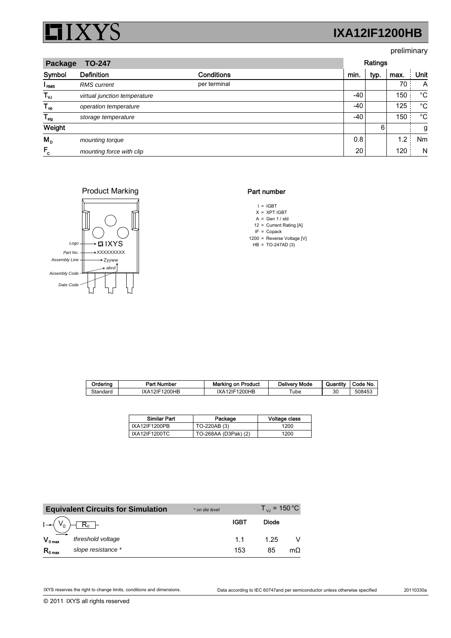

## preliminary

| <b>TO-247</b><br>Package |                              |                   |      | Ratings |      |             |  |
|--------------------------|------------------------------|-------------------|------|---------|------|-------------|--|
| Symbol                   | <b>Definition</b>            | <b>Conditions</b> | min. | typ.    | max. | Unit        |  |
| I <sub>RMS</sub>         | <b>RMS</b> current           | per terminal      |      |         | 70   | A           |  |
| $T_{\nu J}$              | virtual junction temperature |                   | -40  |         | 150  | $^{\circ}C$ |  |
| $T_{op}$                 | operation temperature        |                   | -40  |         | 125  | $^{\circ}C$ |  |
| $T_{\text{stg}}$         | storage temperature          |                   | -40  |         | 150  | $^{\circ}C$ |  |
| Weight                   |                              |                   |      | 6       |      | g           |  |
| $M_{\rm p}$              | mounting torque              |                   | 0.8  |         | 1.2  | Nm          |  |
| $F_c$                    | mounting force with clip     |                   | 20   |         | 120  | N           |  |

### Product Marking



### Part number

- $I = IGBT$
- X = XPT IGBT
- $A = Gen 1 / std$ 12 Current Rating [A] =
- $IF = Copack$
- 1200 = Reverse Voltage [V]
- $HB = TO-247AD(3)$

| Orderina | Part<br>: Number | Marking on Product    | Delivery Mode | Quantity | Code No. |
|----------|------------------|-----------------------|---------------|----------|----------|
| Standard | IXA12IF1200HB    | 1200HB<br>IXA1<br>21F | $\tau$ ube    | 30       | 508453   |

| <b>Similar Part</b> | Package              | Voltage class |
|---------------------|----------------------|---------------|
| IXA12IF1200PB       | TO-220AB (3)         | 1200          |
| IXA12IF1200TC       | TO-268AA (D3Pak) (2) | 1200          |

|                     | <b>Equivalent Circuits for Simulation</b> | * on die level |             | $T_{\rm vir}$ = 150 °C |     |
|---------------------|-------------------------------------------|----------------|-------------|------------------------|-----|
|                     | $R_0$ –                                   |                | <b>IGBT</b> | Diode                  |     |
| $V_{0 \max}$        | threshold voltage                         |                | 11          | 1.25                   |     |
| $R_{0 \text{ max}}$ | slope resistance *                        |                | 153         | 85                     | mΩ. |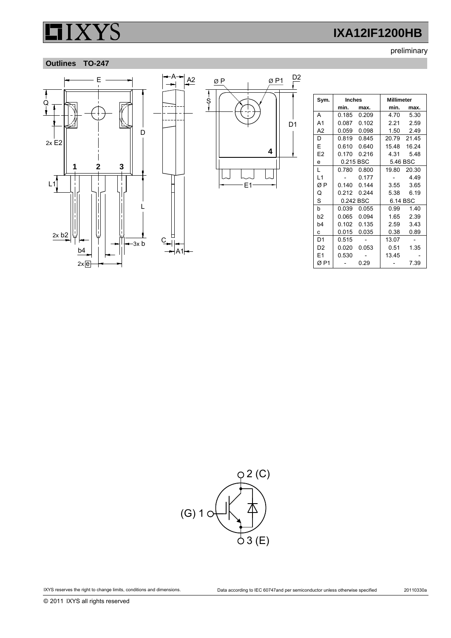preliminary

## **Outlines TO-247**



|               | ØΡ | ØP1 | D <sub>2</sub> |
|---------------|----|-----|----------------|
| $\frac{1}{5}$ |    | 4   | D <sub>1</sub> |
|               | E1 |     |                |

| Sym.           | <b>Inches</b> |       | <b>Millimeter</b> |             |  |
|----------------|---------------|-------|-------------------|-------------|--|
|                | min.          | max.  | min.              | max.        |  |
| А              | 0.185         | 0.209 | 4.70              | 5.30        |  |
| A <sub>1</sub> | 0.087         | 0.102 | 2.21              | 2.59        |  |
| A2             | 0.059         | 0.098 | 1.50              | 2.49        |  |
| D              | 0.819         | 0.845 | 20.79 21.45       |             |  |
| E              | 0.610         | 0.640 |                   | 1548 1624   |  |
| E <sub>2</sub> | 0.170         | 0.216 | 4.31              | 548         |  |
| e              | 0.215 BSC     |       | 5.46 BSC          |             |  |
| L              | 0 780 I       | 0.800 |                   | 19.80 20.30 |  |
| L1             |               | 0.177 |                   | 4.49        |  |
| ØΡ             | 0 140 _       | 0.144 | 3.55              | 3.65        |  |
| Q              | 0.212         | 0.244 | 5.38              | 6.19        |  |
| S              | 0.242 BSC     |       | 6.14 BSC          |             |  |
| b              | 0.039         | 0.055 | 0.99              | 1.40        |  |
| b2             | 0.065         | 0.094 | 1.65              | 2.39        |  |
| b <sub>4</sub> | 0.102         | 0.135 | 2.59              | 3.43        |  |
| C.             | 0.015         | 0.035 | 0.38              | 0.89        |  |
| D <sub>1</sub> | 0.515         |       | 13.07             |             |  |
| D <sub>2</sub> | 0.020         | 0.053 | 0.51              | 1.35        |  |
| F1             | 0.530         |       | 13.45             |             |  |
| ØP1            |               | 0.29  |                   | 7.39        |  |

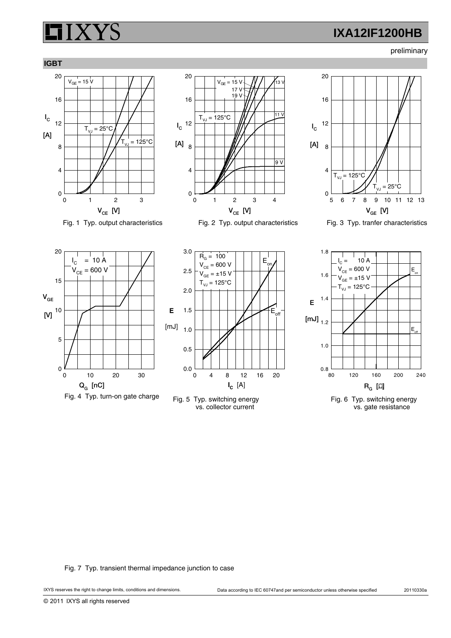preliminary











Fig. 3 Typ. tranfer characteristics



Fig. 1 Typ. output characteristics



Fig. 5 Typ. switching energy vs. collector current



Fig. 6 Typ. switching energy vs. gate resistance

Fig. 7 Typ. transient thermal impedance junction to case